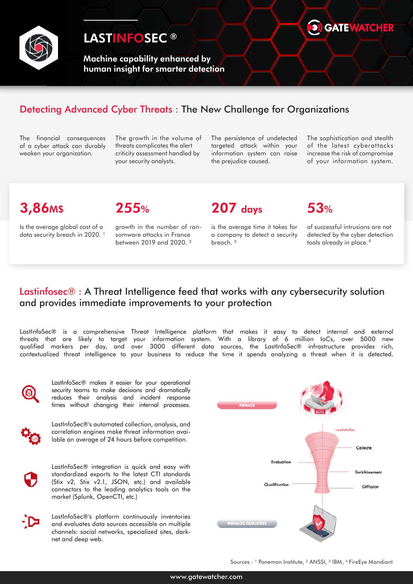

## LASTINFOSEC<sup>®</sup>

Machine capability enhanced by human insight for smarter detection



#### Detecting Advanced Cyber Threats : The New Challenge for Organizations

The financial consequences of a cyber attack can durably weaken your organization.

The growth in the volume of threats complicates the alert criticity assessment handled by your security analysts.

The persistence of undetected targeted attack within your information system can raise the prejudice caused.

The sophistication and stealth of the latest cyberattacks increase the risk of compromise of your information system.

# 3,86M\$ 255% 207 days 53%

Is the average global cost of a data security breach in 2020.<sup>1</sup> growth in the number of ransomware attacks in France between 2019 and 2020. ²

is the average time it takes for a company to detect a security breach. ³

of successful intrusions are not detected by the cyber detection tools already in place. 4

#### Lastinfosec® : A Threat Intelligence feed that works with any cybersecurity solution and provides immediate improvements to your protection

LastInfoSec® is a comprehensive Threat Intelligence platform that makes it easy to detect internal and external threats that are likely to target your information system. With a library of 6 million IoCs, over 5000 new qualified markers per day, and over 3000 different data sources, the LastInfoSec® infrastructure provides rich, contextualized threat intelligence to your business to reduce the time it spends analyzing a threat when it is detected.



LastInfoSec® makes it easier for your operational security teams to make decisions and dramatically reduces their analysis and incident response times without changing their internal processes.



LastInfoSec®'s automated collection, analysis, and correlation engines make threat information available an average of 24 hours before competition.

LastInfoSec® integration is quick and easy with standardized exports to the latest CTI standards (Stix v2, Stix v2.1, JSON, etc.) and available connectors to the leading analytics tools on the market (Splunk, OpenCTI, etc.)

LastInfoSec®'s platform continuously inventories and evaluates data sources accessible on multiple channels: social networks, specialized sites, darknet and deep web.